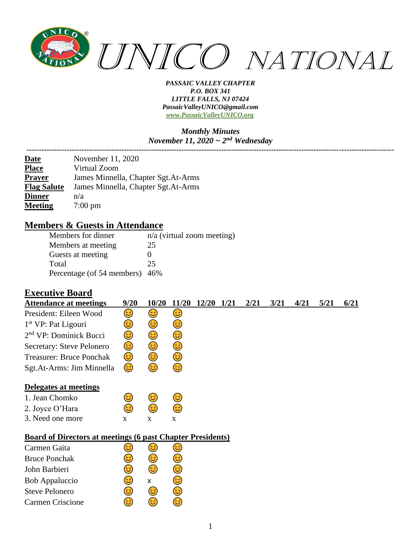

#### *Monthly Minutes November 11, 2020 ~ 2nd Wednesday*

| November 11, 2020                   |
|-------------------------------------|
| Virtual Zoom                        |
| James Minnella, Chapter Sgt.At-Arms |
| James Minnella, Chapter Sgt.At-Arms |
| n/a                                 |
| $7:00 \text{ pm}$                   |
|                                     |

### **Members & Guests in Attendance**

| Members for dinner             | $n/a$ (virtual zoom meeting) |
|--------------------------------|------------------------------|
| Members at meeting             | 25                           |
| Guests at meeting              |                              |
| Total                          | 25                           |
| Percentage (of 54 members) 46% |                              |

### **Executive Board**

| <b>Attendance at meetings</b>                                     | 9/20 | 10/20 | 11/20 | <b>12/20</b> | 1/21 | 2/21 | 3/21 | 4/21 | 5/21 | 6/21 |
|-------------------------------------------------------------------|------|-------|-------|--------------|------|------|------|------|------|------|
| President: Eileen Wood                                            | 3)   | 3     | 3)    |              |      |      |      |      |      |      |
| 1 <sup>st</sup> VP: Pat Ligouri                                   | 3    | 3     | 3)    |              |      |      |      |      |      |      |
| 2 <sup>nd</sup> VP: Dominick Bucci                                | ☺    | ٢     | ☺     |              |      |      |      |      |      |      |
| Secretary: Steve Pelonero                                         | 3)   | ٢     | ٢     |              |      |      |      |      |      |      |
| <b>Treasurer: Bruce Ponchak</b>                                   | 3)   | 3)    | 3)    |              |      |      |      |      |      |      |
| Sgt.At-Arms: Jim Minnella                                         | 3)   | 3     | 3)    |              |      |      |      |      |      |      |
| Delegates at meetings                                             |      |       |       |              |      |      |      |      |      |      |
| 1. Jean Chomko                                                    | 3    | 3)    | 3)    |              |      |      |      |      |      |      |
| 2. Joyce O'Hara                                                   | 3    | ٤     | ٤     |              |      |      |      |      |      |      |
| 3. Need one more                                                  | X    | X     | X     |              |      |      |      |      |      |      |
| <b>Board of Directors at meetings (6 past Chapter Presidents)</b> |      |       |       |              |      |      |      |      |      |      |
| Carmen Gaita                                                      | ತ    | 3)    | 3)    |              |      |      |      |      |      |      |
| <b>Bruce Ponchak</b>                                              | ತಿ   | 3     | 3     |              |      |      |      |      |      |      |
| John Barbieri                                                     | ٢    | ٢     | ٢     |              |      |      |      |      |      |      |
| Bob Appaluccio                                                    | 3    | x     | 3     |              |      |      |      |      |      |      |
| <b>Steve Pelonero</b>                                             | 3    | 3     | 3)    |              |      |      |      |      |      |      |
| Carmen Criscione                                                  | ಡಿ   | 3     | 3     |              |      |      |      |      |      |      |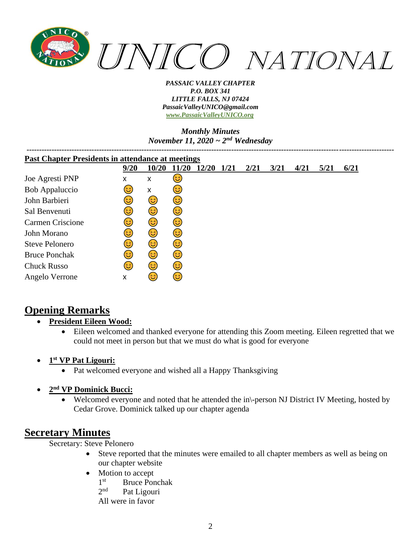

#### *Monthly Minutes November 11, 2020 ~ 2nd Wednesday*

| <b>Past Chapter Presidents in attendance at meetings</b> |      |       |      |       |      |      |      |      |      |      |
|----------------------------------------------------------|------|-------|------|-------|------|------|------|------|------|------|
|                                                          | 9/20 | 10/20 | 1/20 | 12/20 | 1/21 | 2/21 | 3/21 | 4/21 | 5/21 | 6/21 |
| Joe Agresti PNP                                          | x    | x     | 3)   |       |      |      |      |      |      |      |
| <b>Bob Appaluccio</b>                                    | ಡಿ   | X     | 3)   |       |      |      |      |      |      |      |
| John Barbieri                                            | ಡಿ   | 3)    | 3)   |       |      |      |      |      |      |      |
| Sal Benvenuti                                            | ಡಿ   | 6     | 3)   |       |      |      |      |      |      |      |
| <b>Carmen Criscione</b>                                  | 3    | 6     | 3)   |       |      |      |      |      |      |      |
| John Morano                                              | ಡಿ   | 3)    | 3)   |       |      |      |      |      |      |      |
| <b>Steve Pelonero</b>                                    | ಡಿ   | 3     | 3)   |       |      |      |      |      |      |      |
| <b>Bruce Ponchak</b>                                     | 3    | 3     | 3)   |       |      |      |      |      |      |      |
| <b>Chuck Russo</b>                                       | ದಿ   | 3     | 3)   |       |      |      |      |      |      |      |
| Angelo Verrone                                           | X    | ಡಿ    | 3)   |       |      |      |      |      |      |      |

# **Opening Remarks**

- **President Eileen Wood:**
	- Eileen welcomed and thanked everyone for attending this Zoom meeting. Eileen regretted that we could not meet in person but that we must do what is good for everyone
- **1 st VP Pat Ligouri:**
	- Pat welcomed everyone and wished all a Happy Thanksgiving
- **2 nd VP Dominick Bucci:**
	- Welcomed everyone and noted that he attended the in\-person NJ District IV Meeting, hosted by Cedar Grove. Dominick talked up our chapter agenda

# **Secretary Minutes**

Secretary: Steve Pelonero

- Steve reported that the minutes were emailed to all chapter members as well as being on our chapter website
- Motion to accept
	- $1<sup>st</sup>$ Bruce Ponchak
	- $2<sup>nd</sup>$ Pat Ligouri
	- All were in favor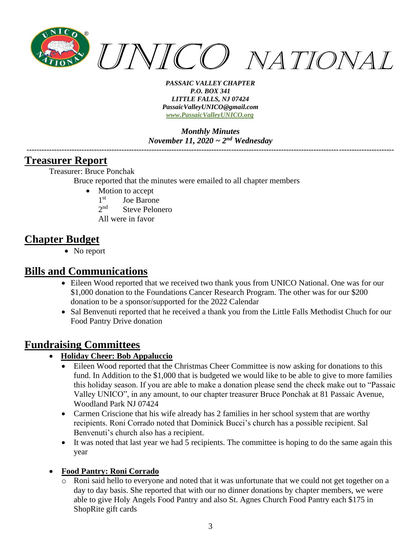

*Monthly Minutes November 11, 2020 ~ 2nd Wednesday*

*---------------------------------------------------------------------------------------------------------------------------------------------------*

### **Treasurer Report**

Treasurer: Bruce Ponchak

Bruce reported that the minutes were emailed to all chapter members

- Motion to accept
	- 1<sup>st</sup> Joe Barone
	- $2<sub>nd</sub>$ Steve Pelonero
	- All were in favor

# **Chapter Budget**

• No report

## **Bills and Communications**

- Eileen Wood reported that we received two thank yous from UNICO National. One was for our \$1,000 donation to the Foundations Cancer Research Program. The other was for our \$200 donation to be a sponsor/supported for the 2022 Calendar
- Sal Benvenuti reported that he received a thank you from the Little Falls Methodist Chuch for our Food Pantry Drive donation

## **Fundraising Committees**

- **Holiday Cheer: Bob Appaluccio**
	- Eileen Wood reported that the Christmas Cheer Committee is now asking for donations to this fund. In Addition to the \$1,000 that is budgeted we would like to be able to give to more families this holiday season. If you are able to make a donation please send the check make out to "Passaic Valley UNICO", in any amount, to our chapter treasurer Bruce Ponchak at 81 Passaic Avenue, Woodland Park NJ 07424
	- Carmen Criscione that his wife already has 2 families in her school system that are worthy recipients. Roni Corrado noted that Dominick Bucci's church has a possible recipient. Sal Benvenuti's church also has a recipient.
	- It was noted that last year we had 5 recipients. The committee is hoping to do the same again this year

#### • **Food Pantry: Roni Corrado**

Roni said hello to everyone and noted that it was unfortunate that we could not get together on a day to day basis. She reported that with our no dinner donations by chapter members, we were able to give Holy Angels Food Pantry and also St. Agnes Church Food Pantry each \$175 in ShopRite gift cards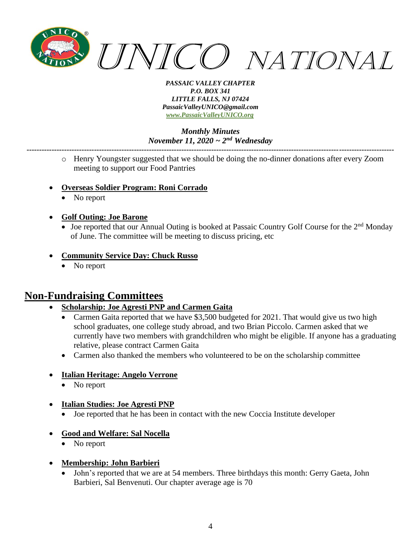

*Monthly Minutes November 11, 2020 ~ 2nd Wednesday*

o Henry Youngster suggested that we should be doing the no-dinner donations after every Zoom meeting to support our Food Pantries

*---------------------------------------------------------------------------------------------------------------------------------------------------*

- **Overseas Soldier Program: Roni Corrado**
	- No report
- **Golf Outing: Joe Barone**
	- Joe reported that our Annual Outing is booked at Passaic Country Golf Course for the 2<sup>nd</sup> Monday of June. The committee will be meeting to discuss pricing, etc
- **Community Service Day: Chuck Russo**
	- No report

## **Non-Fundraising Committees**

### • **Scholarship: Joe Agresti PNP and Carmen Gaita**

- Carmen Gaita reported that we have  $$3,500$  budgeted for 2021. That would give us two high school graduates, one college study abroad, and two Brian Piccolo. Carmen asked that we currently have two members with grandchildren who might be eligible. If anyone has a graduating relative, please contract Carmen Gaita
- Carmen also thanked the members who volunteered to be on the scholarship committee
- **Italian Heritage: Angelo Verrone**
	- No report

#### • **Italian Studies: Joe Agresti PNP**

• Joe reported that he has been in contact with the new Coccia Institute developer

#### • **Good and Welfare: Sal Nocella**

- No report
- **Membership: John Barbieri**
	- John's reported that we are at 54 members. Three birthdays this month: Gerry Gaeta, John Barbieri, Sal Benvenuti. Our chapter average age is 70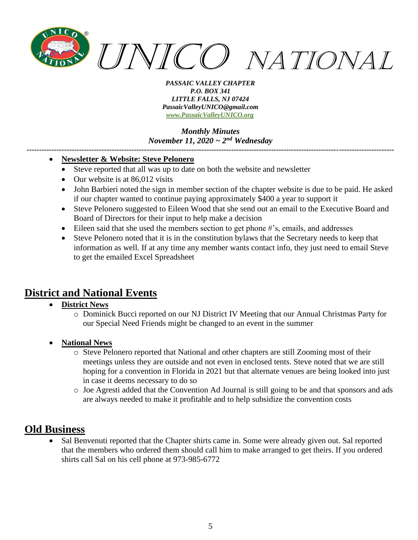

*Monthly Minutes November 11, 2020 ~ 2nd Wednesday*

*---------------------------------------------------------------------------------------------------------------------------------------------------*

### • **Newsletter & Website: Steve Pelonero**

- Steve reported that all was up to date on both the website and newsletter
- Our website is at 86,012 visits
- John Barbieri noted the sign in member section of the chapter website is due to be paid. He asked if our chapter wanted to continue paying approximately \$400 a year to support it
- Steve Pelonero suggested to Eileen Wood that she send out an email to the Executive Board and Board of Directors for their input to help make a decision
- Eileen said that she used the members section to get phone #'s, emails, and addresses
- Steve Pelonero noted that it is in the constitution bylaws that the Secretary needs to keep that information as well. If at any time any member wants contact info, they just need to email Steve to get the emailed Excel Spreadsheet

# **District and National Events**

- **District News**
	- o Dominick Bucci reported on our NJ District IV Meeting that our Annual Christmas Party for our Special Need Friends might be changed to an event in the summer
- **National News**
	- o Steve Pelonero reported that National and other chapters are still Zooming most of their meetings unless they are outside and not even in enclosed tents. Steve noted that we are still hoping for a convention in Florida in 2021 but that alternate venues are being looked into just in case it deems necessary to do so
	- o Joe Agresti added that the Convention Ad Journal is still going to be and that sponsors and ads are always needed to make it profitable and to help subsidize the convention costs

## **Old Business**

Sal Benvenuti reported that the Chapter shirts came in. Some were already given out. Sal reported that the members who ordered them should call him to make arranged to get theirs. If you ordered shirts call Sal on his cell phone at 973-985-6772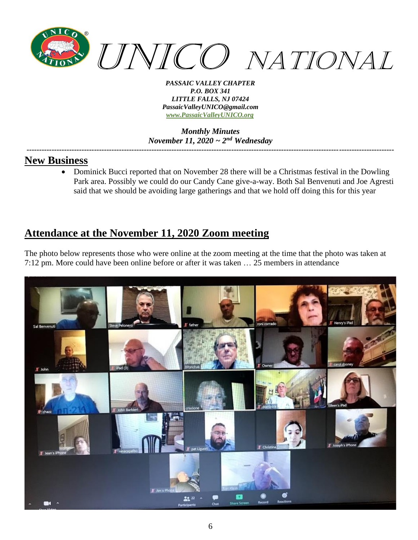

#### *Monthly Minutes November 11, 2020 ~ 2nd Wednesday ---------------------------------------------------------------------------------------------------------------------------------------------------*

## **New Business**

• Dominick Bucci reported that on November 28 there will be a Christmas festival in the Dowling Park area. Possibly we could do our Candy Cane give-a-way. Both Sal Benvenuti and Joe Agresti said that we should be avoiding large gatherings and that we hold off doing this for this year

# **Attendance at the November 11, 2020 Zoom meeting**

The photo below represents those who were online at the zoom meeting at the time that the photo was taken at 7:12 pm. More could have been online before or after it was taken … 25 members in attendance

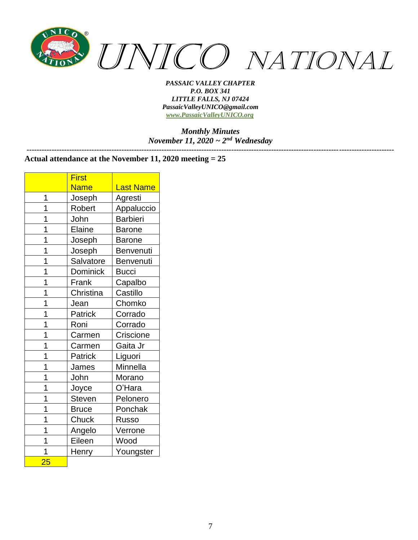

*Monthly Minutes November 11, 2020 ~ 2nd Wednesday ---------------------------------------------------------------------------------------------------------------------------------------------------*

#### **Actual attendance at the November 11, 2020 meeting = 25**

|    | <b>First</b>    |                  |
|----|-----------------|------------------|
|    | <b>Name</b>     | <b>Last Name</b> |
| 1  | Joseph          | Agresti          |
| 1  | Robert          | Appaluccio       |
| 1  | John            | <b>Barbieri</b>  |
| 1  | Elaine          | <b>Barone</b>    |
| 1  | Joseph          | <b>Barone</b>    |
| 1  | Joseph          | Benvenuti        |
| 1  | Salvatore       | Benvenuti        |
| 1  | <b>Dominick</b> | Bucci            |
| 1  | Frank           | Capalbo          |
| 1  | Christina       | Castillo         |
| 1  | Jean            | Chomko           |
| 1  | Patrick         | Corrado          |
| 1  | Roni            | Corrado          |
| 1  | Carmen          | Criscione        |
| 1  | Carmen          | Gaita Jr         |
| 1  | Patrick         | Liguori          |
| 1  | James           | Minnella         |
| 1  | John            | Morano           |
| 1  | Joyce           | O'Hara           |
| 1  | <b>Steven</b>   | Pelonero         |
| 1  | <b>Bruce</b>    | Ponchak          |
| 1  | Chuck           | Russo            |
| 1  | Angelo          | Verrone          |
| 1  | Eileen          | Wood             |
| 1  | Henry           | Youngster        |
| 25 |                 |                  |